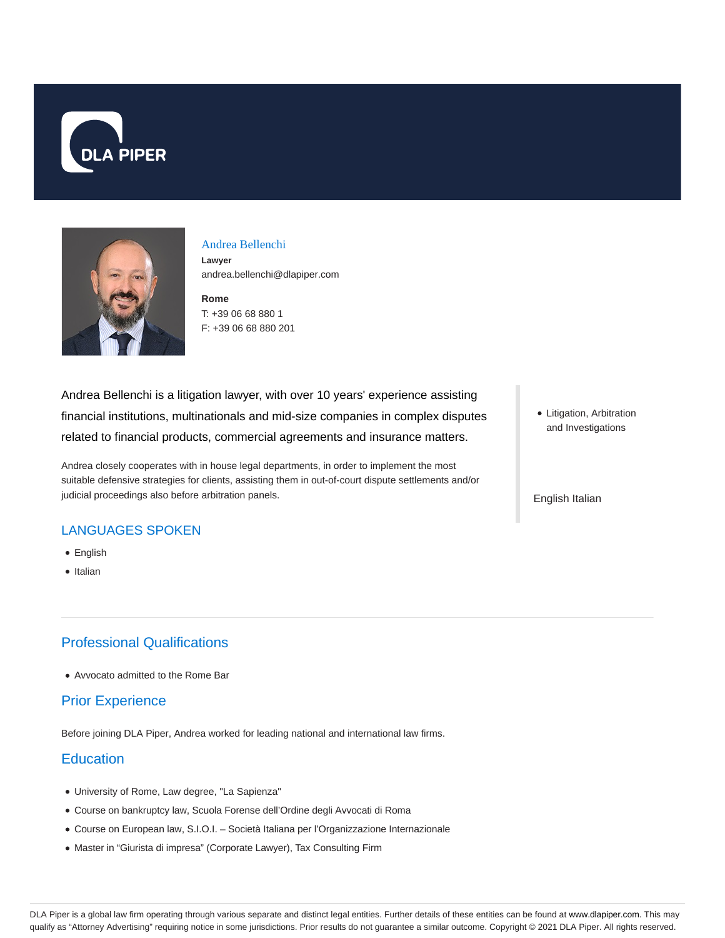



#### Andrea Bellenchi

**Lawyer** andrea.bellenchi@dlapiper.com

**Rome** T: +39 06 68 880 1 F: +39 06 68 880 201

Andrea Bellenchi is a litigation lawyer, with over 10 years' experience assisting financial institutions, multinationals and mid-size companies in complex disputes related to financial products, commercial agreements and insurance matters.

Andrea closely cooperates with in house legal departments, in order to implement the most suitable defensive strategies for clients, assisting them in out-of-court dispute settlements and/or judicial proceedings also before arbitration panels.

## LANGUAGES SPOKEN

- English
- Italian

# Professional Qualifications

Avvocato admitted to the Rome Bar

### Prior Experience

Before joining DLA Piper, Andrea worked for leading national and international law firms.

# **Education**

- University of Rome, Law degree, "La Sapienza"
- Course on bankruptcy law, Scuola Forense dell'Ordine degli Avvocati di Roma
- Course on European law, S.I.O.I. Società Italiana per l'Organizzazione Internazionale
- Master in "Giurista di impresa" (Corporate Lawyer), Tax Consulting Firm

Litigation, Arbitration and Investigations

English Italian